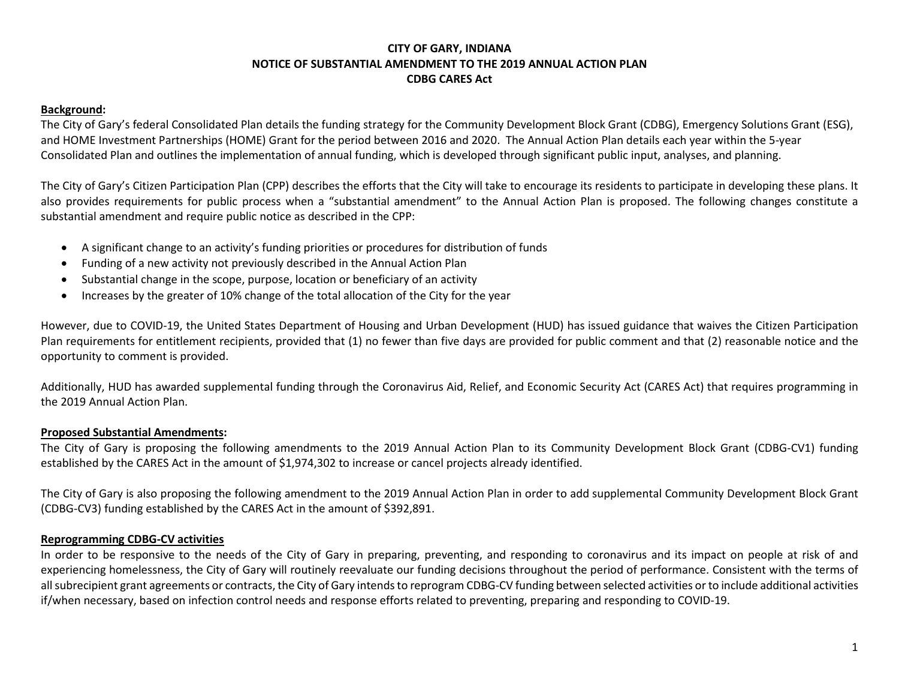## **CITY OF GARY, INDIANA NOTICE OF SUBSTANTIAL AMENDMENT TO THE 2019 ANNUAL ACTION PLAN CDBG CARES Act**

#### **Background:**

The City of Gary's federal Consolidated Plan details the funding strategy for the Community Development Block Grant (CDBG), Emergency Solutions Grant (ESG), and HOME Investment Partnerships (HOME) Grant for the period between 2016 and 2020. The Annual Action Plan details each year within the 5-year Consolidated Plan and outlines the implementation of annual funding, which is developed through significant public input, analyses, and planning.

The City of Gary's Citizen Participation Plan (CPP) describes the efforts that the City will take to encourage its residents to participate in developing these plans. It also provides requirements for public process when a "substantial amendment" to the Annual Action Plan is proposed. The following changes constitute a substantial amendment and require public notice as described in the CPP:

- A significant change to an activity's funding priorities or procedures for distribution of funds
- Funding of a new activity not previously described in the Annual Action Plan
- Substantial change in the scope, purpose, location or beneficiary of an activity
- Increases by the greater of 10% change of the total allocation of the City for the year

However, due to COVID-19, the United States Department of Housing and Urban Development (HUD) has issued guidance that waives the Citizen Participation Plan requirements for entitlement recipients, provided that (1) no fewer than five days are provided for public comment and that (2) reasonable notice and the opportunity to comment is provided.

Additionally, HUD has awarded supplemental funding through the Coronavirus Aid, Relief, and Economic Security Act (CARES Act) that requires programming in the 2019 Annual Action Plan.

#### **Proposed Substantial Amendments:**

The City of Gary is proposing the following amendments to the 2019 Annual Action Plan to its Community Development Block Grant (CDBG-CV1) funding established by the CARES Act in the amount of \$1,974,302 to increase or cancel projects already identified.

The City of Gary is also proposing the following amendment to the 2019 Annual Action Plan in order to add supplemental Community Development Block Grant (CDBG-CV3) funding established by the CARES Act in the amount of \$392,891.

#### **Reprogramming CDBG-CV activities**

In order to be responsive to the needs of the City of Gary in preparing, preventing, and responding to coronavirus and its impact on people at risk of and experiencing homelessness, the City of Gary will routinely reevaluate our funding decisions throughout the period of performance. Consistent with the terms of all subrecipient grant agreements or contracts, the City of Gary intends to reprogram CDBG-CV funding between selected activities or to include additional activities if/when necessary, based on infection control needs and response efforts related to preventing, preparing and responding to COVID-19.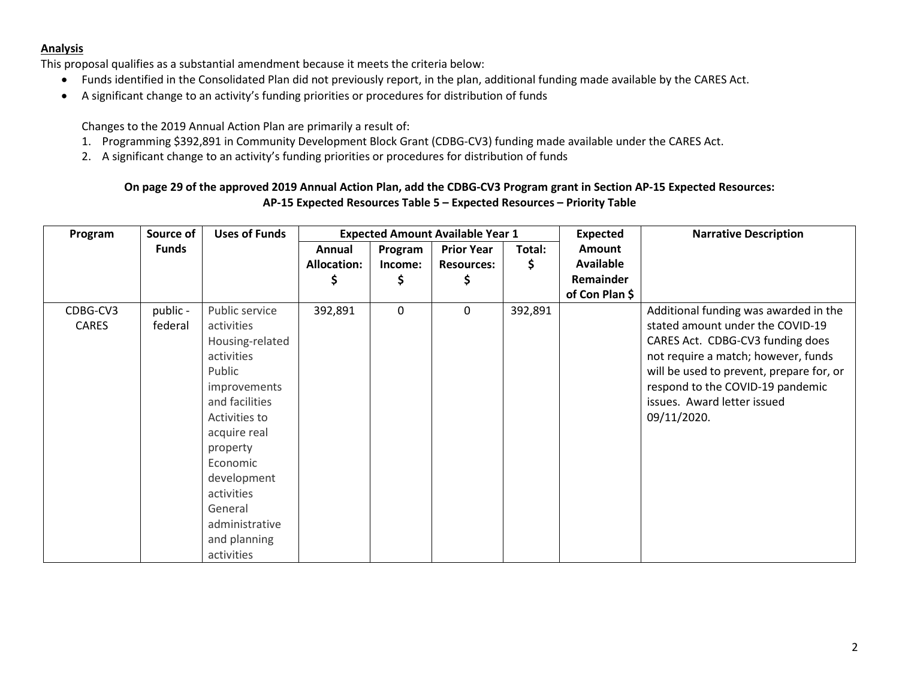#### **Analysis**

This proposal qualifies as a substantial amendment because it meets the criteria below:

- Funds identified in the Consolidated Plan did not previously report, in the plan, additional funding made available by the CARES Act.
- A significant change to an activity's funding priorities or procedures for distribution of funds

Changes to the 2019 Annual Action Plan are primarily a result of:

- 1. Programming \$392,891 in Community Development Block Grant (CDBG-CV3) funding made available under the CARES Act.
- 2. A significant change to an activity's funding priorities or procedures for distribution of funds

## **On page 29 of the approved 2019 Annual Action Plan, add the CDBG-CV3 Program grant in Section AP-15 Expected Resources: AP-15 Expected Resources Table 5 – Expected Resources – Priority Table**

| Program      | Source of    | <b>Uses of Funds</b> | <b>Expected Amount Available Year 1</b> |             |                   |         | <b>Expected</b> | <b>Narrative Description</b>             |
|--------------|--------------|----------------------|-----------------------------------------|-------------|-------------------|---------|-----------------|------------------------------------------|
|              | <b>Funds</b> |                      | Annual                                  | Program     | <b>Prior Year</b> | Total:  | Amount          |                                          |
|              |              |                      | <b>Allocation:</b>                      | Income:     | <b>Resources:</b> | S       | Available       |                                          |
|              |              |                      | \$                                      |             |                   |         | Remainder       |                                          |
|              |              |                      |                                         |             |                   |         | of Con Plan \$  |                                          |
| CDBG-CV3     | public -     | Public service       | 392,891                                 | $\mathbf 0$ | 0                 | 392,891 |                 | Additional funding was awarded in the    |
| <b>CARES</b> | federal      | activities           |                                         |             |                   |         |                 | stated amount under the COVID-19         |
|              |              | Housing-related      |                                         |             |                   |         |                 | CARES Act. CDBG-CV3 funding does         |
|              |              | activities           |                                         |             |                   |         |                 | not require a match; however, funds      |
|              |              | Public               |                                         |             |                   |         |                 | will be used to prevent, prepare for, or |
|              |              | improvements         |                                         |             |                   |         |                 | respond to the COVID-19 pandemic         |
|              |              | and facilities       |                                         |             |                   |         |                 | issues. Award letter issued              |
|              |              | Activities to        |                                         |             |                   |         |                 | 09/11/2020.                              |
|              |              | acquire real         |                                         |             |                   |         |                 |                                          |
|              |              | property             |                                         |             |                   |         |                 |                                          |
|              |              | Economic             |                                         |             |                   |         |                 |                                          |
|              |              | development          |                                         |             |                   |         |                 |                                          |
|              |              | activities           |                                         |             |                   |         |                 |                                          |
|              |              | General              |                                         |             |                   |         |                 |                                          |
|              |              | administrative       |                                         |             |                   |         |                 |                                          |
|              |              | and planning         |                                         |             |                   |         |                 |                                          |
|              |              | activities           |                                         |             |                   |         |                 |                                          |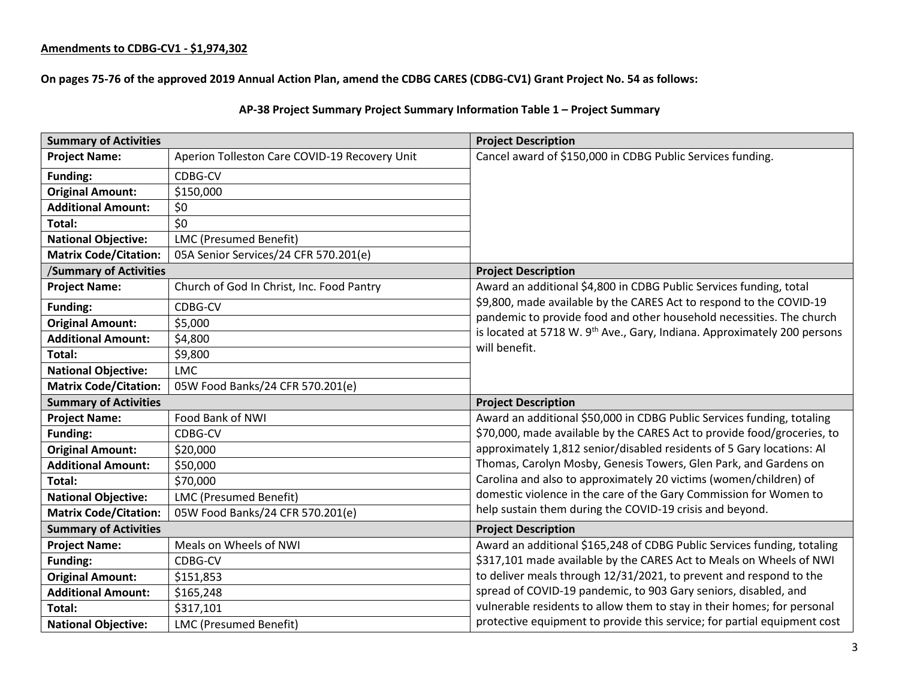## **Amendments to CDBG-CV1 - \$1,974,302**

**On pages 75-76 of the approved 2019 Annual Action Plan, amend the CDBG CARES (CDBG-CV1) Grant Project No. 54 as follows:**

## **AP-38 Project Summary Project Summary Information Table 1 – Project Summary**

| <b>Summary of Activities</b>  |                                               | <b>Project Description</b>                                                           |  |
|-------------------------------|-----------------------------------------------|--------------------------------------------------------------------------------------|--|
| <b>Project Name:</b>          | Aperion Tolleston Care COVID-19 Recovery Unit | Cancel award of \$150,000 in CDBG Public Services funding.                           |  |
| <b>Funding:</b>               | CDBG-CV                                       |                                                                                      |  |
| <b>Original Amount:</b>       | \$150,000                                     |                                                                                      |  |
| <b>Additional Amount:</b>     | \$0                                           |                                                                                      |  |
| Total:                        | \$0                                           |                                                                                      |  |
| <b>National Objective:</b>    | LMC (Presumed Benefit)                        |                                                                                      |  |
| <b>Matrix Code/Citation:</b>  | 05A Senior Services/24 CFR 570.201(e)         |                                                                                      |  |
| <b>/Summary of Activities</b> |                                               | <b>Project Description</b>                                                           |  |
| <b>Project Name:</b>          | Church of God In Christ, Inc. Food Pantry     | Award an additional \$4,800 in CDBG Public Services funding, total                   |  |
| Funding:                      | CDBG-CV                                       | \$9,800, made available by the CARES Act to respond to the COVID-19                  |  |
| <b>Original Amount:</b>       | \$5,000                                       | pandemic to provide food and other household necessities. The church                 |  |
| <b>Additional Amount:</b>     | \$4,800                                       | is located at 5718 W. 9 <sup>th</sup> Ave., Gary, Indiana. Approximately 200 persons |  |
| Total:                        | \$9,800                                       | will benefit.                                                                        |  |
| <b>National Objective:</b>    | <b>LMC</b>                                    |                                                                                      |  |
| <b>Matrix Code/Citation:</b>  | 05W Food Banks/24 CFR 570.201(e)              |                                                                                      |  |
| <b>Summary of Activities</b>  |                                               | <b>Project Description</b>                                                           |  |
| <b>Project Name:</b>          | Food Bank of NWI                              | Award an additional \$50,000 in CDBG Public Services funding, totaling               |  |
| <b>Funding:</b>               | CDBG-CV                                       | \$70,000, made available by the CARES Act to provide food/groceries, to              |  |
| <b>Original Amount:</b>       | \$20,000                                      | approximately 1,812 senior/disabled residents of 5 Gary locations: Al                |  |
| <b>Additional Amount:</b>     | \$50,000                                      | Thomas, Carolyn Mosby, Genesis Towers, Glen Park, and Gardens on                     |  |
| Total:                        | \$70,000                                      | Carolina and also to approximately 20 victims (women/children) of                    |  |
| <b>National Objective:</b>    | <b>LMC (Presumed Benefit)</b>                 | domestic violence in the care of the Gary Commission for Women to                    |  |
| <b>Matrix Code/Citation:</b>  | 05W Food Banks/24 CFR 570.201(e)              | help sustain them during the COVID-19 crisis and beyond.                             |  |
| <b>Summary of Activities</b>  |                                               | <b>Project Description</b>                                                           |  |
| <b>Project Name:</b>          | Meals on Wheels of NWI                        | Award an additional \$165,248 of CDBG Public Services funding, totaling              |  |
| <b>Funding:</b>               | CDBG-CV                                       | \$317,101 made available by the CARES Act to Meals on Wheels of NWI                  |  |
| <b>Original Amount:</b>       | \$151,853                                     | to deliver meals through 12/31/2021, to prevent and respond to the                   |  |
| <b>Additional Amount:</b>     | \$165,248                                     | spread of COVID-19 pandemic, to 903 Gary seniors, disabled, and                      |  |
| Total:                        | \$317,101                                     | vulnerable residents to allow them to stay in their homes; for personal              |  |
| <b>National Objective:</b>    | LMC (Presumed Benefit)                        | protective equipment to provide this service; for partial equipment cost             |  |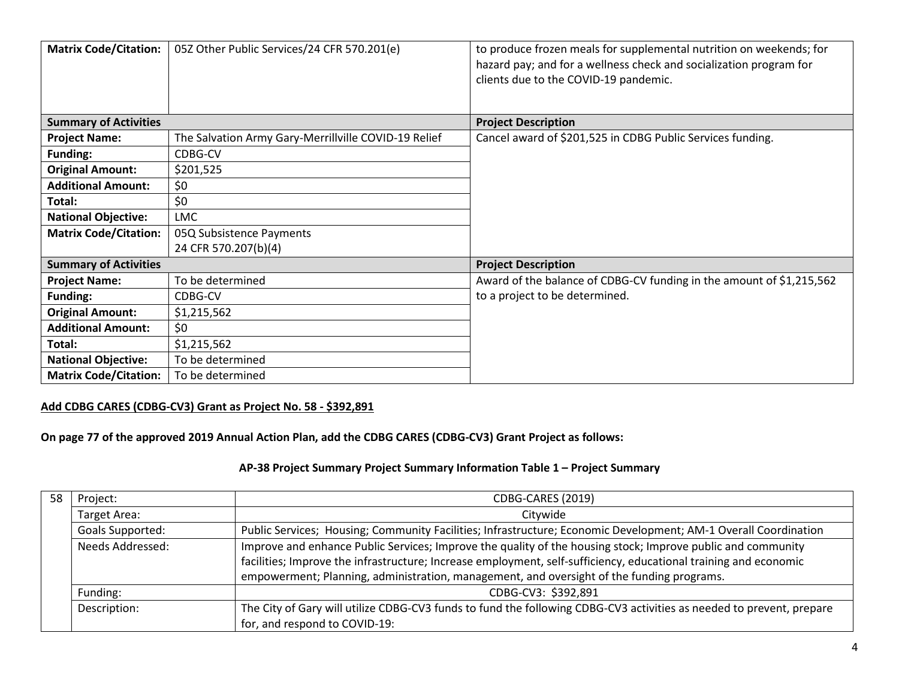| <b>Matrix Code/Citation:</b> | 05Z Other Public Services/24 CFR 570.201(e)          | to produce frozen meals for supplemental nutrition on weekends; for<br>hazard pay; and for a wellness check and socialization program for<br>clients due to the COVID-19 pandemic. |
|------------------------------|------------------------------------------------------|------------------------------------------------------------------------------------------------------------------------------------------------------------------------------------|
| <b>Summary of Activities</b> |                                                      | <b>Project Description</b>                                                                                                                                                         |
| <b>Project Name:</b>         | The Salvation Army Gary-Merrillville COVID-19 Relief | Cancel award of \$201,525 in CDBG Public Services funding.                                                                                                                         |
| <b>Funding:</b>              | CDBG-CV                                              |                                                                                                                                                                                    |
| <b>Original Amount:</b>      | \$201,525                                            |                                                                                                                                                                                    |
| <b>Additional Amount:</b>    | \$0                                                  |                                                                                                                                                                                    |
| Total:                       | \$0                                                  |                                                                                                                                                                                    |
| <b>National Objective:</b>   | LMC                                                  |                                                                                                                                                                                    |
| <b>Matrix Code/Citation:</b> | 05Q Subsistence Payments                             |                                                                                                                                                                                    |
|                              | 24 CFR 570.207(b)(4)                                 |                                                                                                                                                                                    |
| <b>Summary of Activities</b> |                                                      | <b>Project Description</b>                                                                                                                                                         |
| <b>Project Name:</b>         | To be determined                                     | Award of the balance of CDBG-CV funding in the amount of \$1,215,562                                                                                                               |
| Funding:                     | CDBG-CV                                              | to a project to be determined.                                                                                                                                                     |
| <b>Original Amount:</b>      | \$1,215,562                                          |                                                                                                                                                                                    |
| <b>Additional Amount:</b>    | \$0                                                  |                                                                                                                                                                                    |
| Total:                       | \$1,215,562                                          |                                                                                                                                                                                    |
| <b>National Objective:</b>   | To be determined                                     |                                                                                                                                                                                    |
| <b>Matrix Code/Citation:</b> | To be determined                                     |                                                                                                                                                                                    |

## **Add CDBG CARES (CDBG-CV3) Grant as Project No. 58 - \$392,891**

# **On page 77 of the approved 2019 Annual Action Plan, add the CDBG CARES (CDBG-CV3) Grant Project as follows:**

# **AP-38 Project Summary Project Summary Information Table 1 – Project Summary**

| 58 | Project:         | CDBG-CARES (2019)                                                                                                    |  |  |
|----|------------------|----------------------------------------------------------------------------------------------------------------------|--|--|
|    | Target Area:     | Citywide                                                                                                             |  |  |
|    | Goals Supported: | Public Services; Housing; Community Facilities; Infrastructure; Economic Development; AM-1 Overall Coordination      |  |  |
|    | Needs Addressed: | Improve and enhance Public Services; Improve the quality of the housing stock; Improve public and community          |  |  |
|    |                  | facilities; Improve the infrastructure; Increase employment, self-sufficiency, educational training and economic     |  |  |
|    |                  | empowerment; Planning, administration, management, and oversight of the funding programs.                            |  |  |
|    | Funding:         | CDBG-CV3: \$392,891                                                                                                  |  |  |
|    | Description:     | The City of Gary will utilize CDBG-CV3 funds to fund the following CDBG-CV3 activities as needed to prevent, prepare |  |  |
|    |                  | for, and respond to COVID-19:                                                                                        |  |  |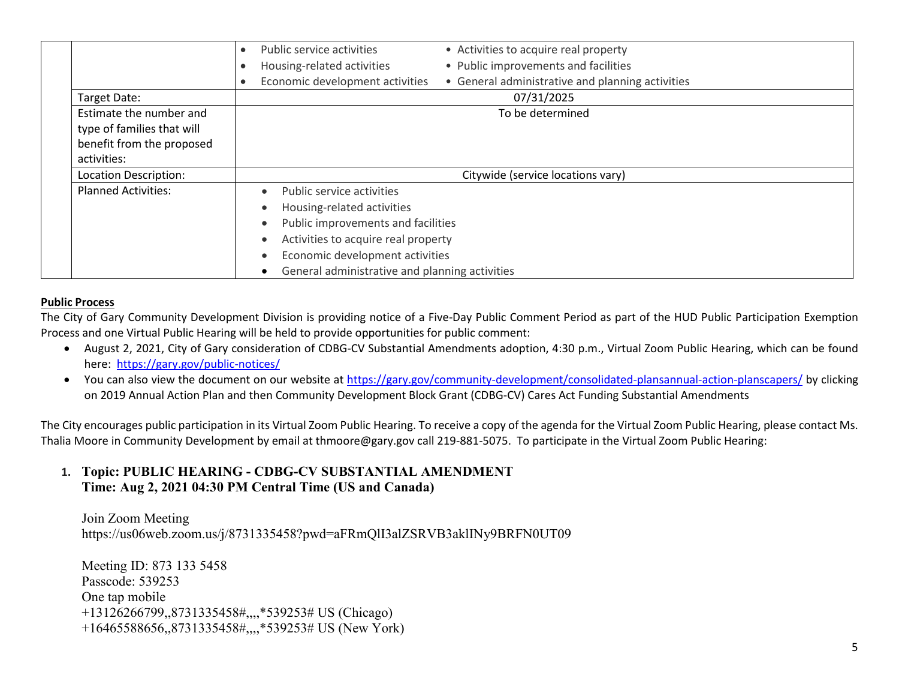|                            | Public service activities<br>• Activities to acquire real property                  |
|----------------------------|-------------------------------------------------------------------------------------|
|                            | • Public improvements and facilities<br>Housing-related activities                  |
|                            | Economic development activities<br>• General administrative and planning activities |
| Target Date:               | 07/31/2025                                                                          |
| Estimate the number and    | To be determined                                                                    |
| type of families that will |                                                                                     |
| benefit from the proposed  |                                                                                     |
| activities:                |                                                                                     |
| Location Description:      | Citywide (service locations vary)                                                   |
| <b>Planned Activities:</b> | Public service activities                                                           |
|                            | Housing-related activities                                                          |
|                            | Public improvements and facilities                                                  |
|                            | Activities to acquire real property                                                 |
|                            | Economic development activities                                                     |
|                            | General administrative and planning activities                                      |

#### **Public Process**

The City of Gary Community Development Division is providing notice of a Five-Day Public Comment Period as part of the HUD Public Participation Exemption Process and one Virtual Public Hearing will be held to provide opportunities for public comment:

- August 2, 2021, City of Gary consideration of CDBG-CV Substantial Amendments adoption, 4:30 p.m., Virtual Zoom Public Hearing, which can be found here: <https://gary.gov/public-notices/>
- You can also view the document on our website at<https://gary.gov/community-development/consolidated-plansannual-action-planscapers/> by clicking on 2019 Annual Action Plan and then Community Development Block Grant (CDBG-CV) Cares Act Funding Substantial Amendments

The City encourages public participation in its Virtual Zoom Public Hearing. To receive a copy of the agenda for the Virtual Zoom Public Hearing, please contact Ms. Thalia Moore in Community Development by email at thmoore@gary.gov call 219-881-5075. To participate in the Virtual Zoom Public Hearing:

# **1. Topic: PUBLIC HEARING - CDBG-CV SUBSTANTIAL AMENDMENT Time: Aug 2, 2021 04:30 PM Central Time (US and Canada)**

Join Zoom Meeting https://us06web.zoom.us/j/8731335458?pwd=aFRmQlI3alZSRVB3aklINy9BRFN0UT09

Meeting ID: 873 133 5458 Passcode: 539253 One tap mobile +13126266799,,8731335458#,,,,\*539253# US (Chicago) +16465588656,,8731335458#,,,,\*539253# US (New York)